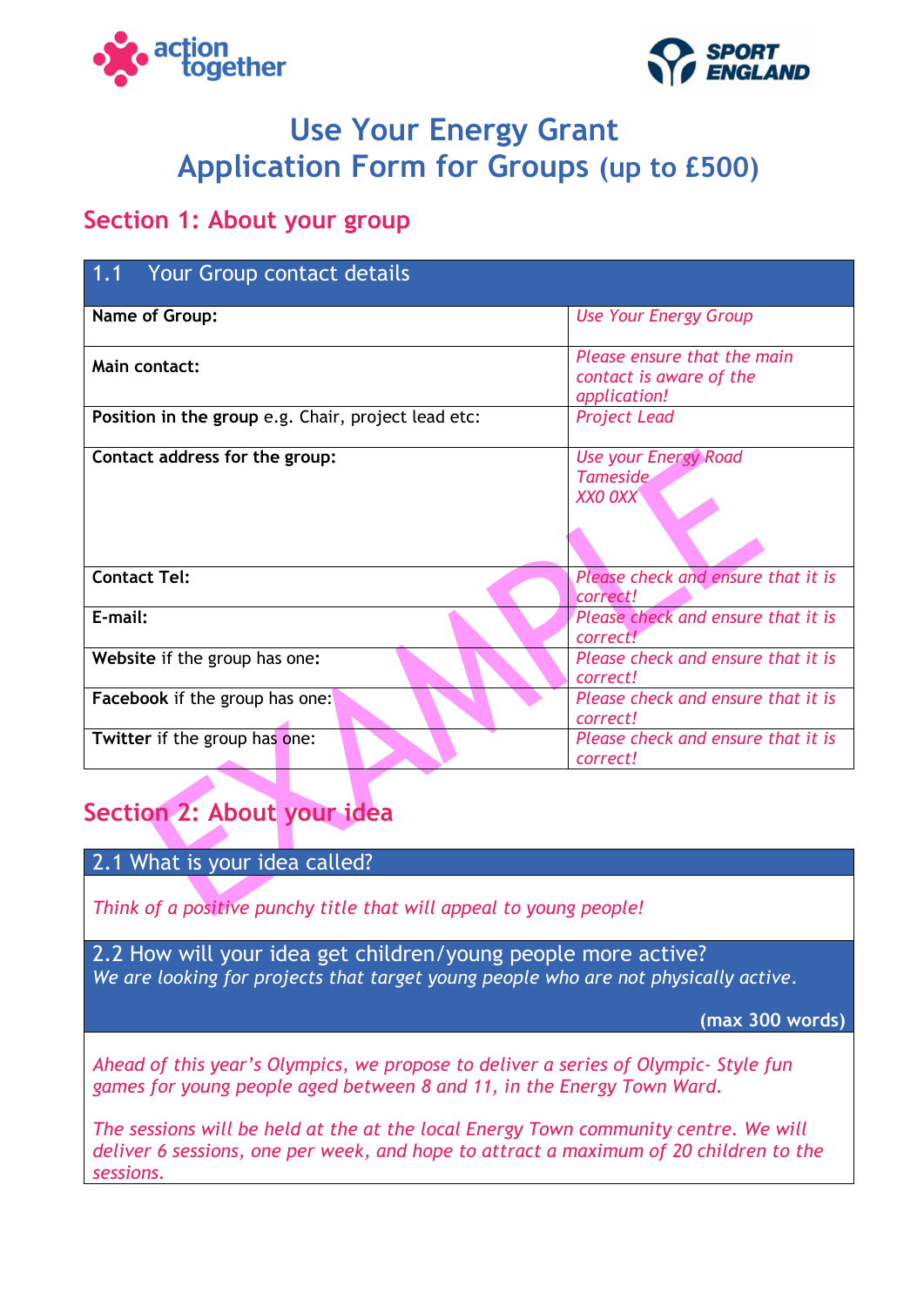



# **Use Your Energy Grant Application Form for Groups (up to £500)**

### **Section 1: About your group**

| 1.1 Your Group contact details                      |                                                                        |
|-----------------------------------------------------|------------------------------------------------------------------------|
| Name of Group:                                      | <b>Use Your Energy Group</b>                                           |
| Main contact:                                       | Please ensure that the main<br>contact is aware of the<br>application! |
| Position in the group e.g. Chair, project lead etc: | <b>Project Lead</b>                                                    |
| Contact address for the group:                      | <b>Use your Energy Road</b><br><b>Tameside</b><br>XXO OXX              |
| <b>Contact Tel:</b>                                 | Please check and ensure that it is<br>correct!                         |
| E-mail:                                             | Please check and ensure that it is<br>correct!                         |
| Website if the group has one:                       | Please check and ensure that it is<br>correct!                         |
| <b>Facebook</b> if the group has one:               | Please check and ensure that it is<br>correct!                         |
| Twitter if the group has one:                       | Please check and ensure that it is<br>correct!                         |

# **Section 2: About your idea**

### 2.1 What is your idea called?

*Think of a positive punchy title that will appeal to young people!*

2.2 How will your idea get children/young people more active? *We are looking for projects that target young people who are not physically active.*

**(max 300 words)**

*Ahead of this year's Olympics, we propose to deliver a series of Olympic- Style fun games for young people aged between 8 and 11, in the Energy Town Ward.* 

*The sessions will be held at the at the local Energy Town community centre. We will deliver 6 sessions, one per week, and hope to attract a maximum of 20 children to the sessions.*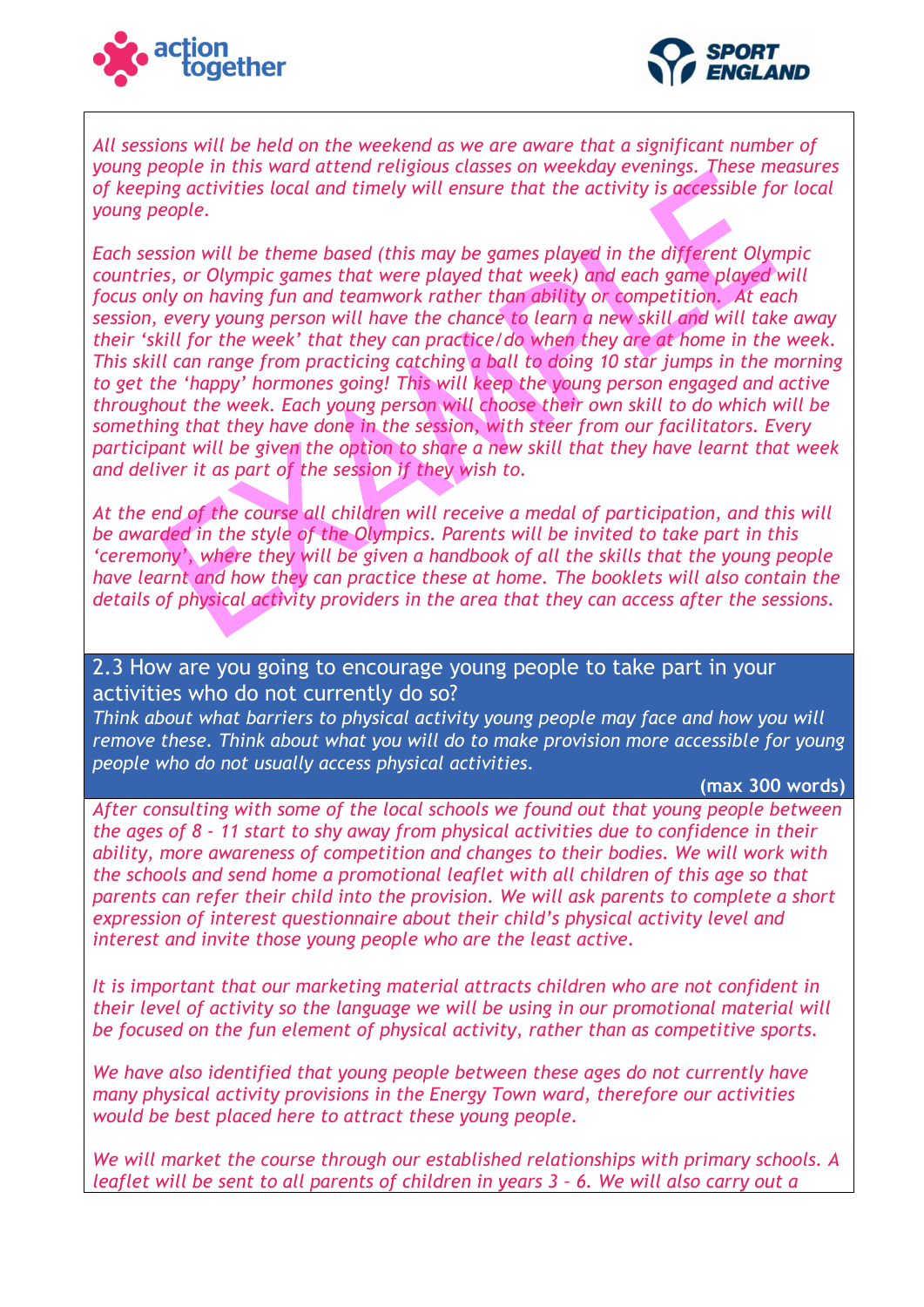



*All sessions will be held on the weekend as we are aware that a significant number of young people in this ward attend religious classes on weekday evenings. These measures of keeping activities local and timely will ensure that the activity is accessible for local young people.*

*Each session will be theme based (this may be games played in the different Olympic countries, or Olympic games that were played that week) and each game played will focus only on having fun and teamwork rather than ability or competition. At each session, every young person will have the chance to learn a new skill and will take away their 'skill for the week' that they can practice/do when they are at home in the week. This skill can range from practicing catching a ball to doing 10 star jumps in the morning to get the 'happy' hormones going! This will keep the young person engaged and active throughout the week. Each young person will choose their own skill to do which will be something that they have done in the session, with steer from our facilitators. Every participant will be given the option to share a new skill that they have learnt that week and deliver it as part of the session if they wish to.* 

*At the end of the course all children will receive a medal of participation, and this will be awarded in the style of the Olympics. Parents will be invited to take part in this 'ceremony', where they will be given a handbook of all the skills that the young people have learnt and how they can practice these at home. The booklets will also contain the details of physical activity providers in the area that they can access after the sessions.*

2.3 How are you going to encourage young people to take part in your activities who do not currently do so?

*Think about what barriers to physical activity young people may face and how you will remove these. Think about what you will do to make provision more accessible for young people who do not usually access physical activities.*

#### **(max 300 words)**

*After consulting with some of the local schools we found out that young people between the ages of 8 - 11 start to shy away from physical activities due to confidence in their ability, more awareness of competition and changes to their bodies. We will work with the schools and send home a promotional leaflet with all children of this age so that parents can refer their child into the provision. We will ask parents to complete a short expression of interest questionnaire about their child's physical activity level and interest and invite those young people who are the least active.*

*It is important that our marketing material attracts children who are not confident in their level of activity so the language we will be using in our promotional material will be focused on the fun element of physical activity, rather than as competitive sports.*

*We have also identified that young people between these ages do not currently have many physical activity provisions in the Energy Town ward, therefore our activities would be best placed here to attract these young people.*

*We will market the course through our established relationships with primary schools. A leaflet will be sent to all parents of children in years 3 – 6. We will also carry out a*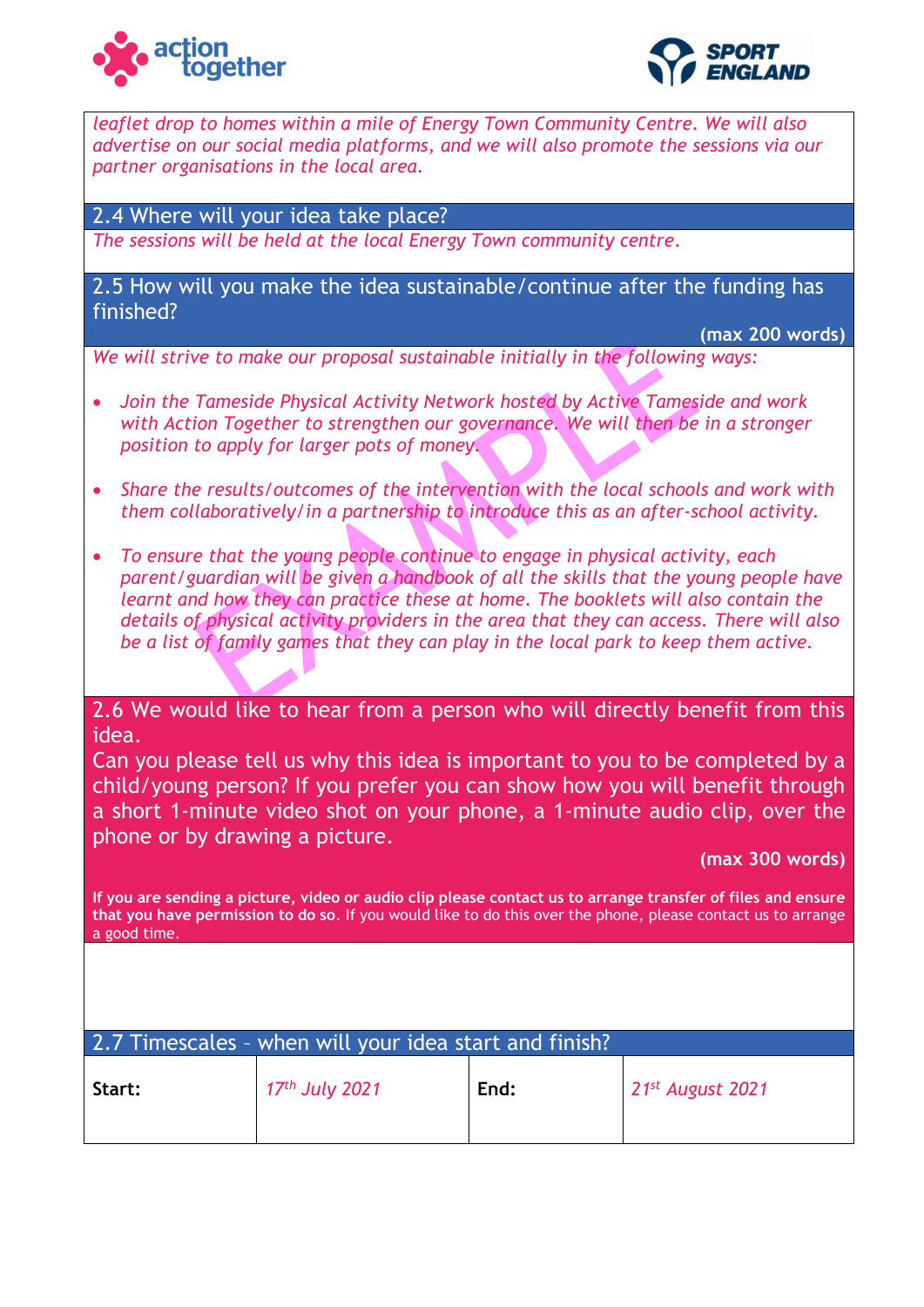



*leaflet drop to homes within a mile of Energy Town Community Centre. We will also advertise on our social media platforms, and we will also promote the sessions via our partner organisations in the local area.*

2.4 Where will your idea take place?

*The sessions will be held at the local Energy Town community centre.*

2.5 How will you make the idea sustainable/continue after the funding has finished?

**(max 200 words)**

*We will strive to make our proposal sustainable initially in the following ways:*

- *Join the Tameside Physical Activity Network hosted by Active Tameside and work with Action Together to strengthen our governance. We will then be in a stronger position to apply for larger pots of money.*
- *Share the results/outcomes of the intervention with the local schools and work with them collaboratively/in a partnership to introduce this as an after-school activity.*
- *To ensure that the young people continue to engage in physical activity, each parent/guardian will be given a handbook of all the skills that the young people have learnt and how they can practice these at home. The booklets will also contain the details of physical activity providers in the area that they can access. There will also be a list of family games that they can play in the local park to keep them active.*

2.6 We would like to hear from a person who will directly benefit from this idea.

Can you please tell us why this idea is important to you to be completed by a child/young person? If you prefer you can show how you will benefit through a short 1-minute video shot on your phone, a 1-minute audio clip, over the phone or by drawing a picture.

**(max 300 words)**

**If you are sending a picture, video or audio clip please contact us to arrange transfer of files and ensure that you have permission to do so**. If you would like to do this over the phone, please contact us to arrange a good time.

| 2.7 Timescales - when will your idea start and finish? |                  |      |                    |
|--------------------------------------------------------|------------------|------|--------------------|
| Start:                                                 | $17th$ July 2021 | End: | $21st$ August 2021 |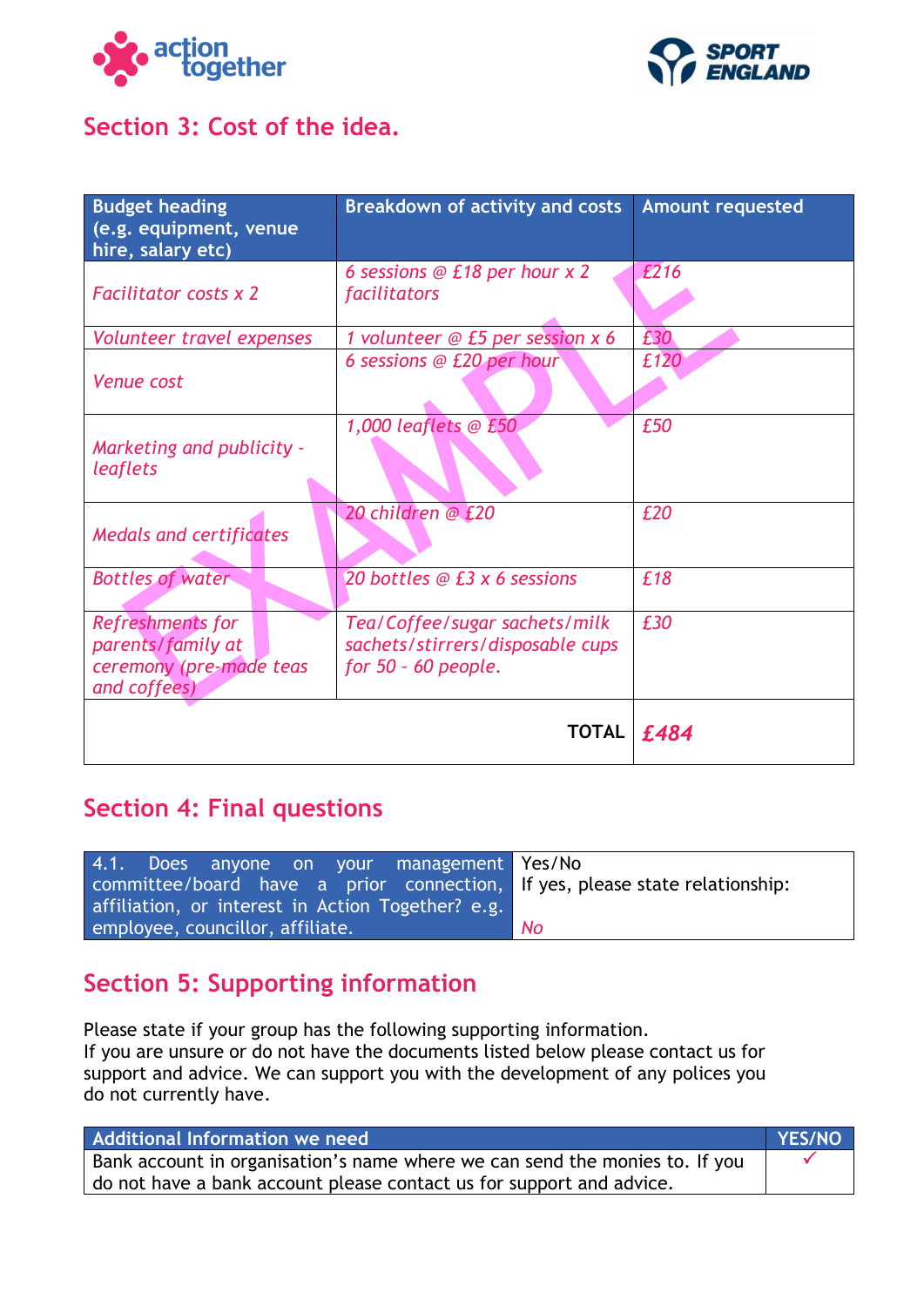



# **Section 3: Cost of the idea.**

| <b>Budget heading</b><br>(e.g. equipment, venue<br>hire, salary etc)             | <b>Breakdown of activity and costs</b>                                                     | <b>Amount requested</b> |
|----------------------------------------------------------------------------------|--------------------------------------------------------------------------------------------|-------------------------|
| <b>Facilitator costs x 2</b>                                                     | 6 sessions $@E18$ per hour x 2<br>facilitators                                             | E <sub>2</sub> 16       |
| Volunteer travel expenses                                                        | 1 volunteer $@E5$ per session $x 6$                                                        | £30                     |
| <b>Venue</b> cost                                                                | 6 sessions @ £20 per hour                                                                  | £120                    |
| Marketing and publicity -<br>leaflets                                            | 1,000 leaflets @ £50                                                                       | £50                     |
| <b>Medals and certificates</b>                                                   | 20 children @ £20                                                                          | £20                     |
| <b>Bottles of water</b>                                                          | 20 bottles $@$ £3 x 6 sessions                                                             | £18                     |
| Refreshments for<br>parents/family at<br>ceremony (pre-made teas<br>and coffees) | Tea/Coffee/sugar sachets/milk<br>sachets/stirrers/disposable cups<br>for $50 - 60$ people. | £30                     |
|                                                                                  | <b>TOTAL</b>                                                                               | £484                    |

### **Section 4: Final questions**

| 4.1. Does anyone on your management Yes/No                                  |           |
|-----------------------------------------------------------------------------|-----------|
| committee/board have a prior connection, If yes, please state relationship: |           |
| affiliation, or interest in Action Together? e.g.                           |           |
| employee, councillor, affiliate.                                            | <b>No</b> |

## **Section 5: Supporting information**

Please state if your group has the following supporting information. If you are unsure or do not have the documents listed below please contact us for support and advice. We can support you with the development of any polices you do not currently have.

| Additional Information we need                                              | YES/NO |
|-----------------------------------------------------------------------------|--------|
| Bank account in organisation's name where we can send the monies to. If you |        |
| do not have a bank account please contact us for support and advice.        |        |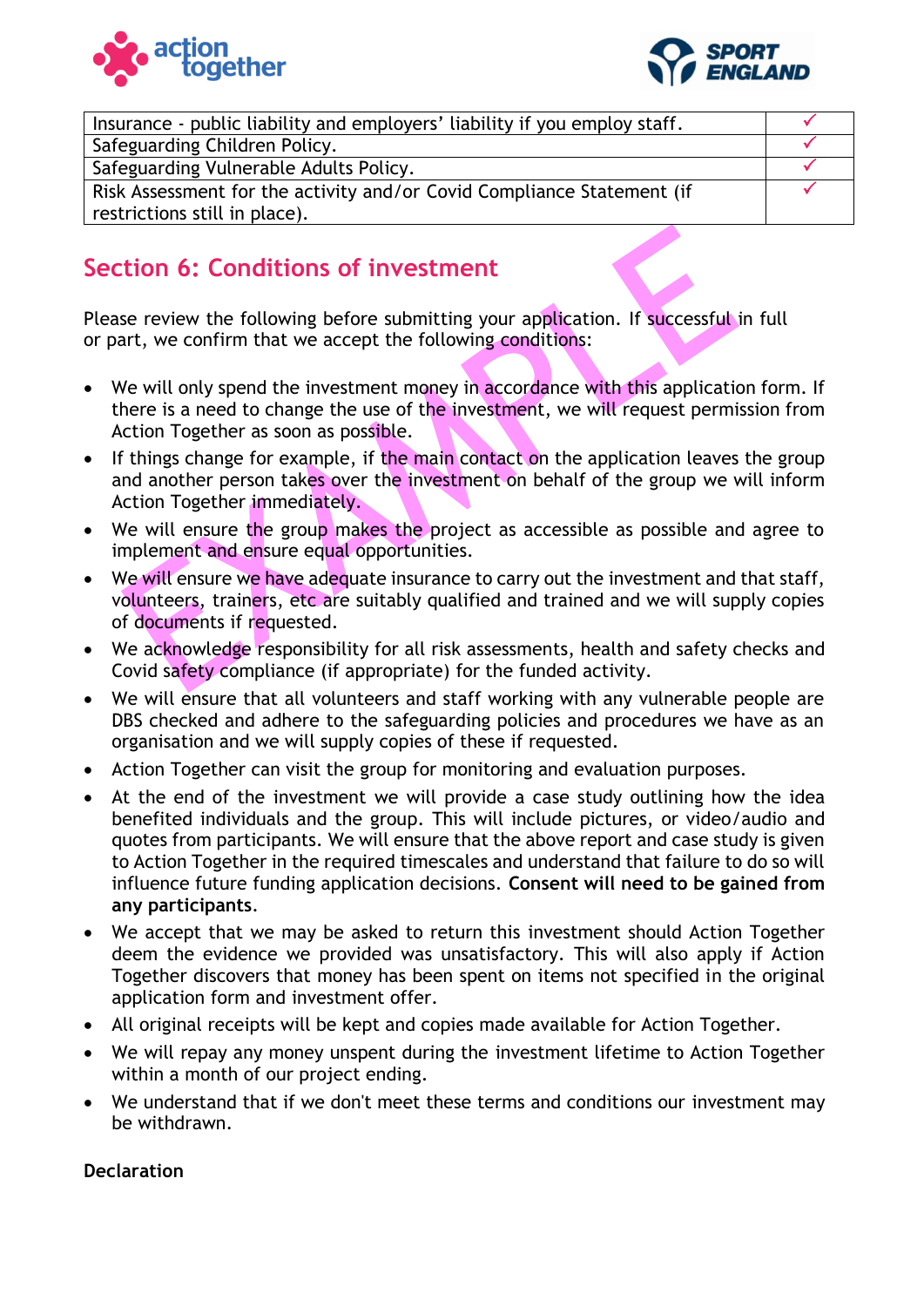



| Insurance - public liability and employers' liability if you employ staff. |  |
|----------------------------------------------------------------------------|--|
| Safeguarding Children Policy.                                              |  |
| Safeguarding Vulnerable Adults Policy.                                     |  |
| Risk Assessment for the activity and/or Covid Compliance Statement (if     |  |
| restrictions still in place).                                              |  |

### **Section 6: Conditions of investment**

Please review the following before submitting your application. If successful in full or part, we confirm that we accept the following conditions:

- We will only spend the investment money in accordance with this application form. If there is a need to change the use of the investment, we will request permission from Action Together as soon as possible.
- If things change for example, if the main contact on the application leaves the group and another person takes over the investment on behalf of the group we will inform Action Together immediately.
- We will ensure the group makes the project as accessible as possible and agree to implement and ensure equal opportunities.
- We will ensure we have adequate insurance to carry out the investment and that staff, volunteers, trainers, etc are suitably qualified and trained and we will supply copies of documents if requested.
- We acknowledge responsibility for all risk assessments, health and safety checks and Covid safety compliance (if appropriate) for the funded activity.
- We will ensure that all volunteers and staff working with any vulnerable people are DBS checked and adhere to the safeguarding policies and procedures we have as an organisation and we will supply copies of these if requested.
- Action Together can visit the group for monitoring and evaluation purposes.
- At the end of the investment we will provide a case study outlining how the idea benefited individuals and the group. This will include pictures, or video/audio and quotes from participants. We will ensure that the above report and case study is given to Action Together in the required timescales and understand that failure to do so will influence future funding application decisions. **Consent will need to be gained from any participants**.
- We accept that we may be asked to return this investment should Action Together deem the evidence we provided was unsatisfactory. This will also apply if Action Together discovers that money has been spent on items not specified in the original application form and investment offer.
- All original receipts will be kept and copies made available for Action Together.
- We will repay any money unspent during the investment lifetime to Action Together within a month of our project ending.
- We understand that if we don't meet these terms and conditions our investment may be withdrawn.

**Declaration**